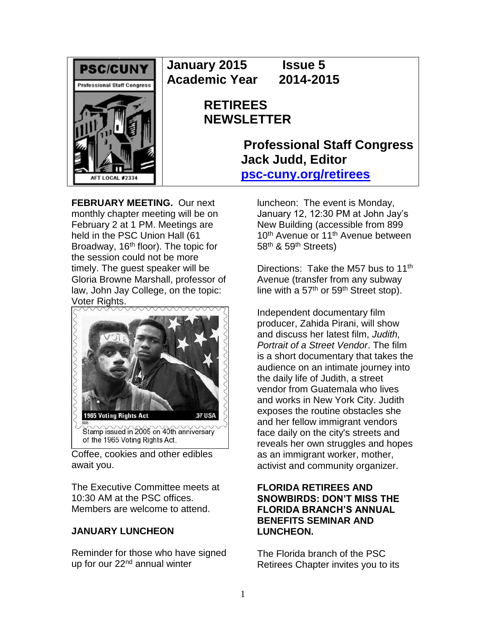

**January 2015 Issue 5 Academic Year 2014-2015**

# **RETIREES NEWSLETTER**

**Professional Staff Congress Jack Judd, Editor [psc-cuny.org/retirees](http://www.psc-cuny.org/retirees)**

**FEBRUARY MEETING.** Our next monthly chapter meeting will be on February 2 at 1 PM. Meetings are held in the PSC Union Hall (61 Broadway, 16<sup>th</sup> floor). The topic for the session could not be more timely. The guest speaker will be Gloria Browne Marshall, professor of law, John Jay College, on the topic: Voter Rights.



Coffee, cookies and other edibles await you.

The Executive Committee meets at 10:30 AM at the PSC offices. Members are welcome to attend.

# **JANUARY LUNCHEON**

Reminder for those who have signed up for our 22<sup>nd</sup> annual winter

luncheon: The event is Monday, January 12, 12:30 PM at John Jay's New Building (accessible from 899 10<sup>th</sup> Avenue or 11<sup>th</sup> Avenue between 58<sup>th</sup> & 59<sup>th</sup> Streets)

Directions: Take the M57 bus to 11<sup>th</sup> Avenue (transfer from any subway line with a  $57<sup>th</sup>$  or  $59<sup>th</sup>$  Street stop).

Independent documentary film producer, Zahida Pirani, will show and discuss her latest film, *Judith, Portrait of a Street Vendor*. The film is a short documentary that takes the audience on an intimate journey into the daily life of Judith, a street vendor from Guatemala who lives and works in New York City. Judith exposes the routine obstacles she and her fellow immigrant vendors face daily on the city's streets and reveals her own struggles and hopes as an immigrant worker, mother, activist and community organizer.

# **FLORIDA RETIREES AND SNOWBIRDS: DON'T MISS THE FLORIDA BRANCH'S ANNUAL BENEFITS SEMINAR AND LUNCHEON.**

The Florida branch of the PSC Retirees Chapter invites you to its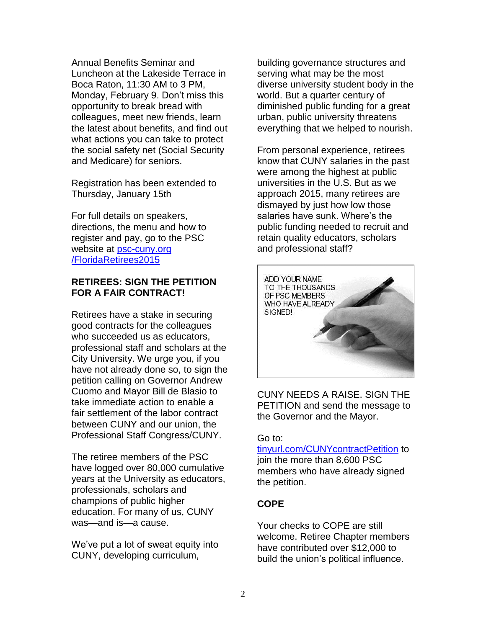Annual Benefits Seminar and Luncheon at the Lakeside Terrace in Boca Raton, 11:30 AM to 3 PM, Monday, February 9. Don't miss this opportunity to break bread with colleagues, meet new friends, learn the latest about benefits, and find out what actions you can take to protect the social safety net (Social Security and Medicare) for seniors.

Registration has been extended to Thursday, January 15th

For full details on speakers, directions, the menu and how to register and pay, go to the PSC website at [psc-cuny.org](http://psc-cuny.org/FloridaRetirees2015)  [/FloridaRetirees2015](http://psc-cuny.org/FloridaRetirees2015)

## **RETIREES: SIGN THE PETITION FOR A FAIR CONTRACT!**

Retirees have a stake in securing good contracts for the colleagues who succeeded us as educators, professional staff and scholars at the City University. We urge you, if you have not already done so, to sign the petition calling on Governor Andrew Cuomo and Mayor Bill de Blasio to take immediate action to enable a fair settlement of the labor contract between CUNY and our union, the Professional Staff Congress/CUNY.

The retiree members of the PSC have logged over 80,000 cumulative years at the University as educators, professionals, scholars and champions of public higher education. For many of us, CUNY was—and is—a cause.

We've put a lot of sweat equity into CUNY, developing curriculum,

building governance structures and serving what may be the most diverse university student body in the world. But a quarter century of diminished public funding for a great urban, public university threatens everything that we helped to nourish.

From personal experience, retirees know that CUNY salaries in the past were among the highest at public universities in the U.S. But as we approach 2015, many retirees are dismayed by just how low those salaries have sunk. Where's the public funding needed to recruit and retain quality educators, scholars and professional staff?



CUNY NEEDS A RAISE. SIGN THE PETITION and send the message to the Governor and the Mayor.

#### Go to:

[tinyurl.com/CUNYcontractPetition](http://tinyurl.com/CUNYcontractPetition) to join the more than 8,600 PSC members who have already signed the petition.

# **COPE**

Your checks to COPE are still welcome. Retiree Chapter members have contributed over \$12,000 to build the union's political influence.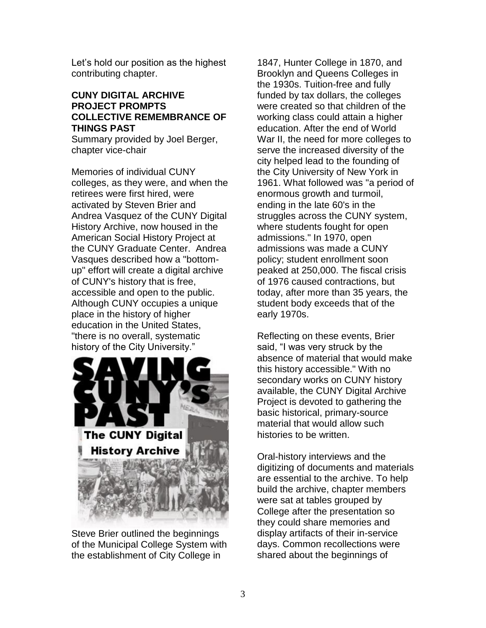Let's hold our position as the highest contributing chapter.

#### **CUNY DIGITAL ARCHIVE PROJECT PROMPTS COLLECTIVE REMEMBRANCE OF THINGS PAST**

Summary provided by Joel Berger, chapter vice-chair

Memories of individual CUNY colleges, as they were, and when the retirees were first hired, were activated by Steven Brier and Andrea Vasquez of the CUNY Digital History Archive, now housed in the American Social History Project at the CUNY Graduate Center. Andrea Vasques described how a "bottomup" effort will create a digital archive of CUNY's history that is free, accessible and open to the public. Although CUNY occupies a unique place in the history of higher education in the United States, "there is no overall, systematic history of the City University."



Steve Brier outlined the beginnings of the Municipal College System with the establishment of City College in

1847, Hunter College in 1870, and Brooklyn and Queens Colleges in the 1930s. Tuition-free and fully funded by tax dollars, the colleges were created so that children of the working class could attain a higher education. After the end of World War II, the need for more colleges to serve the increased diversity of the city helped lead to the founding of the City University of New York in 1961. What followed was "a period of enormous growth and turmoil, ending in the late 60's in the struggles across the CUNY system, where students fought for open admissions." In 1970, open admissions was made a CUNY policy; student enrollment soon peaked at 250,000. The fiscal crisis of 1976 caused contractions, but today, after more than 35 years, the student body exceeds that of the early 1970s.

Reflecting on these events, Brier said, "I was very struck by the absence of material that would make this history accessible." With no secondary works on CUNY history available, the CUNY Digital Archive Project is devoted to gathering the basic historical, primary-source material that would allow such histories to be written.

Oral-history interviews and the digitizing of documents and materials are essential to the archive. To help build the archive, chapter members were sat at tables grouped by College after the presentation so they could share memories and display artifacts of their in-service days. Common recollections were shared about the beginnings of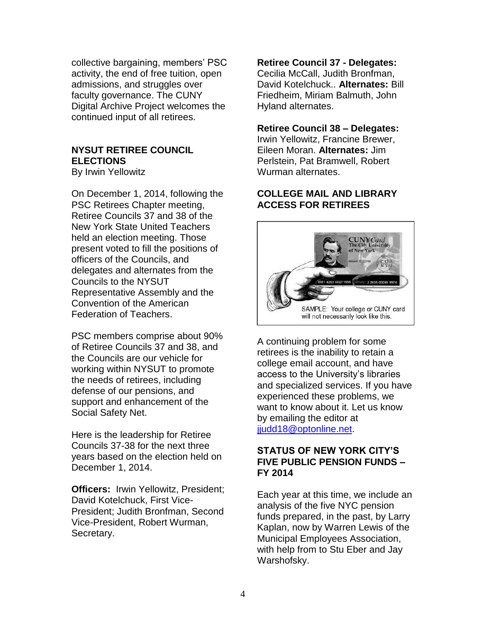collective bargaining, members' PSC activity, the end of free tuition, open admissions, and struggles over faculty governance. The CUNY Digital Archive Project welcomes the continued input of all retirees.

# **NYSUT RETIREE COUNCIL ELECTIONS**

By Irwin Yellowitz

On December 1, 2014, following the PSC Retirees Chapter meeting, Retiree Councils 37 and 38 of the New York State United Teachers held an election meeting. Those present voted to fill the positions of officers of the Councils, and delegates and alternates from the Councils to the NYSUT Representative Assembly and the Convention of the American Federation of Teachers.

PSC members comprise about 90% of Retiree Councils 37 and 38, and the Councils are our vehicle for working within NYSUT to promote the needs of retirees, including defense of our pensions, and support and enhancement of the Social Safety Net.

Here is the leadership for Retiree Councils 37-38 for the next three years based on the election held on December 1, 2014.

**Officers:** Irwin Yellowitz, President; David Kotelchuck, First Vice-President; Judith Bronfman, Second Vice-President, Robert Wurman, Secretary.

**Retiree Council 37 - Delegates:**

Cecilia McCall, Judith Bronfman, David Kotelchuck.. **Alternates:** Bill Friedheim, Miriam Balmuth, John Hyland alternates.

### **Retiree Council 38 – Delegates:**

Irwin Yellowitz, Francine Brewer, Eileen Moran. **Alternates:** Jim Perlstein, Pat Bramwell, Robert Wurman alternates.

# **COLLEGE MAIL AND LIBRARY ACCESS FOR RETIREES**



A continuing problem for some retirees is the inability to retain a college email account, and have access to the University's libraries and specialized services. If you have experienced these problems, we want to know about it. Let us know by emailing the editor at [jjudd18@optonline.net.](mailto:jjudd18@optonline.net)

## **STATUS OF NEW YORK CITY'S FIVE PUBLIC PENSION FUNDS – FY 2014**

Each year at this time, we include an analysis of the five NYC pension funds prepared, in the past, by Larry Kaplan, now by Warren Lewis of the Municipal Employees Association, with help from to Stu Eber and Jay Warshofsky.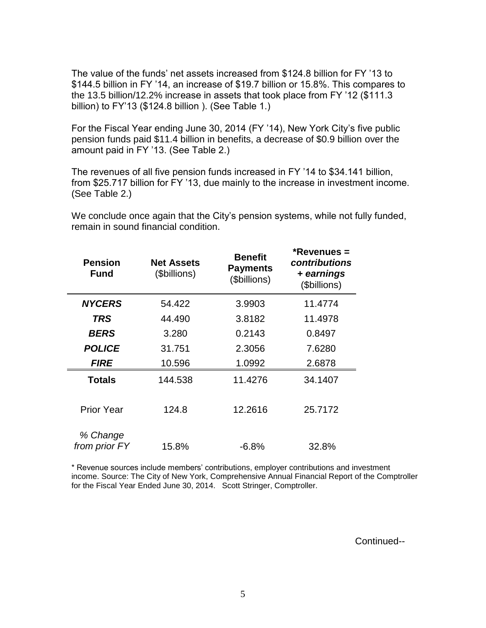The value of the funds' net assets increased from \$124.8 billion for FY '13 to \$144.5 billion in FY '14, an increase of \$19.7 billion or 15.8%. This compares to the 13.5 billion/12.2% increase in assets that took place from FY '12 (\$111.3 billion) to FY'13 (\$124.8 billion ). (See Table 1.)

For the Fiscal Year ending June 30, 2014 (FY '14), New York City's five public pension funds paid \$11.4 billion in benefits, a decrease of \$0.9 billion over the amount paid in FY '13. (See Table 2.)

The revenues of all five pension funds increased in FY '14 to \$34.141 billion, from \$25.717 billion for FY '13, due mainly to the increase in investment income. (See Table 2.)

We conclude once again that the City's pension systems, while not fully funded, remain in sound financial condition.

| <b>Pension</b><br>Fund    | <b>Net Assets</b><br>(\$billions) | <b>Benefit</b><br><b>Payments</b><br>(\$billions) |         |
|---------------------------|-----------------------------------|---------------------------------------------------|---------|
| <b>NYCERS</b>             | 54.422                            | 3.9903                                            | 11.4774 |
| <b>TRS</b>                | 44.490                            | 3.8182                                            | 11.4978 |
| <b>BERS</b>               | 3.280                             | 0.2143                                            | 0.8497  |
| <b>POLICE</b>             | 31.751                            | 2.3056                                            | 7.6280  |
| <i><b>FIRE</b></i>        | 10.596                            | 1.0992                                            | 2.6878  |
| Totals                    | 144.538                           | 11.4276                                           | 34.1407 |
| <b>Prior Year</b>         | 124.8                             | 12.2616                                           | 25.7172 |
| % Change<br>from prior FY | 15.8%                             | $-6.8%$                                           | 32.8%   |

\* Revenue sources include members' contributions, employer contributions and investment income. Source: The City of New York, Comprehensive Annual Financial Report of the Comptroller for the Fiscal Year Ended June 30, 2014. Scott Stringer, Comptroller.

Continued--